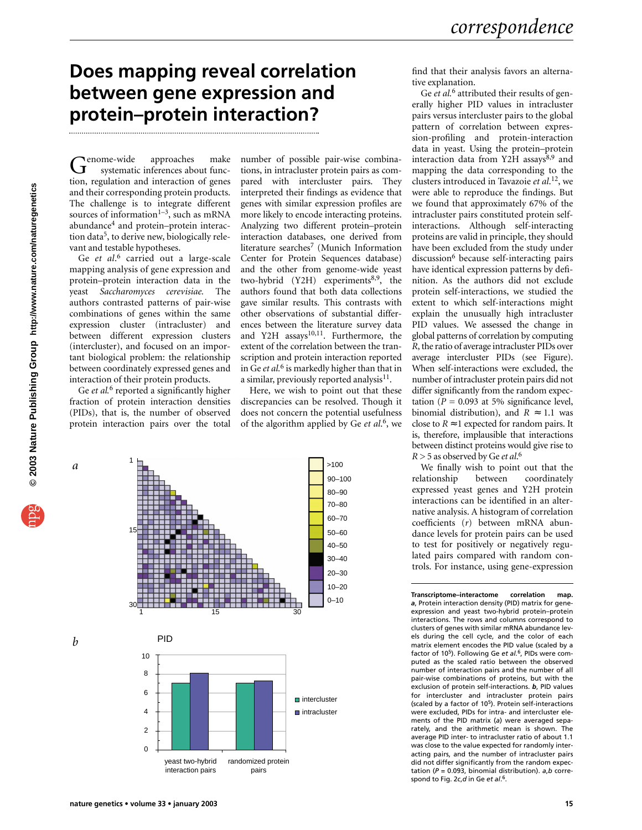## **Does mapping reveal correlation between gene expression and protein–protein interaction?**

Genome-wide approaches make systematic inferences about function, regulation and interaction of genes and their corresponding protein products. The challenge is to integrate different sources of information<sup>1-3</sup>, such as mRNA abundance<sup>4</sup> and protein–protein interaction data<sup>5</sup>, to derive new, biologically relevant and testable hypotheses.

Ge *et al*. <sup>6</sup> carried out a large-scale mapping analysis of gene expression and protein–protein interaction data in the yeast *Saccharomyces cerevisiae.* The authors contrasted patterns of pair-wise combinations of genes within the same expression cluster (intracluster) and between different expression clusters (intercluster), and focused on an important biological problem: the relationship between coordinately expressed genes and interaction of their protein products.

Ge *et al.*<sup>6</sup> reported a significantly higher fraction of protein interaction densities (PIDs), that is, the number of observed protein interaction pairs over the total

number of possible pair-wise combinations, in intracluster protein pairs as compared with intercluster pairs. They interpreted their findings as evidence that genes with similar expression profiles are more likely to encode interacting proteins. Analyzing two different protein–protein interaction databases, one derived from literature searches<sup>7</sup> (Munich Information Center for Protein Sequences database) and the other from genome-wide yeast two-hybrid  $(Y2H)$  experiments<sup>8,9</sup>, the authors found that both data collections gave similar results. This contrasts with other observations of substantial differences between the literature survey data and Y2H  $assays^{10,11}$ . Furthermore, the extent of the correlation between the transcription and protein interaction reported in Ge *et al.*<sup>6</sup> is markedly higher than that in a similar, previously reported analysis $^{11}$ .

Here, we wish to point out that these discrepancies can be resolved. Though it does not concern the potential usefulness of the algorithm applied by Ge *et al*. 6, we



yeast two-hybrid interaction pairs randomized protein pairs

find that their analysis favors an alternative explanation.

Ge *et al.*<sup>6</sup> attributed their results of generally higher PID values in intracluster pairs versus intercluster pairs to the global pattern of correlation between expression-profiling and protein-interaction data in yeast. Using the protein–protein interaction data from Y2H assays<sup>8,9</sup> and mapping the data corresponding to the clusters introduced in Tavazoie *et al*. 12, we were able to reproduce the findings. But we found that approximately 67% of the intracluster pairs constituted protein selfinteractions. Although self-interacting proteins are valid in principle, they should have been excluded from the study under discussion<sup>6</sup> because self-interacting pairs have identical expression patterns by definition. As the authors did not exclude protein self-interactions, we studied the extent to which self-interactions might explain the unusually high intracluster PID values. We assessed the change in global patterns of correlation by computing *R*, the ratio of average intracluster PIDs over average intercluster PIDs (see Figure). When self-interactions were excluded, the number of intracluster protein pairs did not differ significantly from the random expectation ( $P = 0.093$  at 5% significance level, binomial distribution), and  $R \approx 1.1$  was close to  $R \approx 1$  expected for random pairs. It is, therefore, implausible that interactions between distinct proteins would give rise to *R* > 5 as observed by Ge *et al*. 6

We finally wish to point out that the<br>relationship between coordinately coordinately expressed yeast genes and Y2H protein interactions can be identified in an alternative analysis. A histogram of correlation coefficients (*r*) between mRNA abundance levels for protein pairs can be used to test for positively or negatively regulated pairs compared with random controls. For instance, using gene-expression

**Transcriptome–interactome correlation map.** *a*, Protein interaction density (PID) matrix for geneexpression and yeast two-hybrid protein–protein interactions. The rows and columns correspond to clusters of genes with similar mRNA abundance levels during the cell cycle, and the color of each matrix element encodes the PID value (scaled by a factor of 105). Following Ge *et al.*6, PIDs were computed as the scaled ratio between the observed number of interaction pairs and the number of all pair-wise combinations of proteins, but with the exclusion of protein self-interactions. *b*, PID values for intercluster and intracluster protein pairs (scaled by a factor of 105). Protein self-interactions were excluded, PIDs for intra- and intercluster elements of the PID matrix (*a*) were averaged separately, and the arithmetic mean is shown. The average PID inter- to intracluster ratio of about 1.1 was close to the value expected for randomly interacting pairs, and the number of intracluster pairs did not differ significantly from the random expectation (*P* = 0.093, binomial distribution). *a*,*b* correspond to Fig. 2*c*,*d* in Ge *et al*. 6.